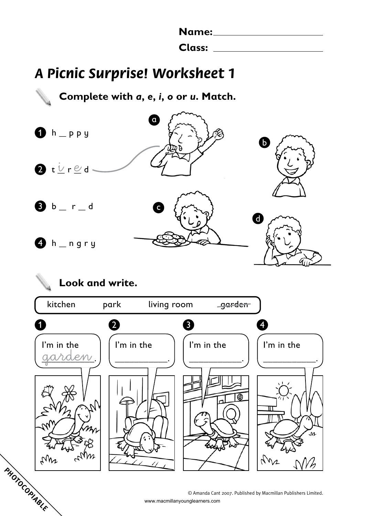| <b>Name:</b>  |  |
|---------------|--|
| <b>Class:</b> |  |

## **A Picnic Surprise! Worksheet 1**

**Complete with** *a***,** *e***,** *i***,** *o* **or** *u***. Match.**  $h$  p  $p$  y 2 t <u>V</u> r <u>e</u> d  $$  $h$   $n$  gry  $\alpha$ c b d

# **Look and write.** kitchen park living room garde<del>n</del>  $1$  2 3 4 I'm in the I'm in the I'm in the I'm in the garden .)  $\begin{bmatrix} \ldots & \ldots & \ldots \\ \ldots & \ldots & \ldots \end{bmatrix}$ \_\_\_\_\_\_\_\_\_\_\_. \_\_\_\_\_\_\_\_\_\_\_. œ  $\omega_{\mathcal{V}_{\mathcal{P}}}$ typs **PHOTOCOPIABLE**

© Amanda Cant 2007. Published by Macmillan Publishers Limited. www.macmillanyounglearners.com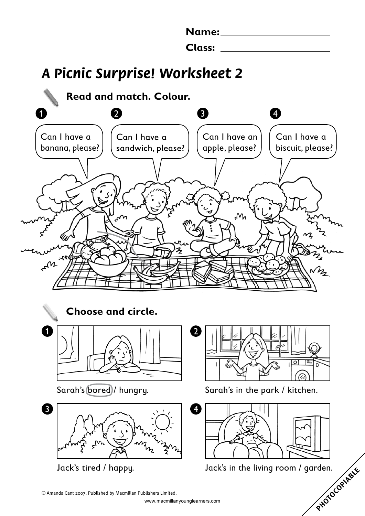| Name:  |  |
|--------|--|
|        |  |
| Class: |  |

## **A Picnic Surprise! Worksheet 2**



Jack's tired / happy.

PHOTOCOPIABLE Jack's in the living room / garden.